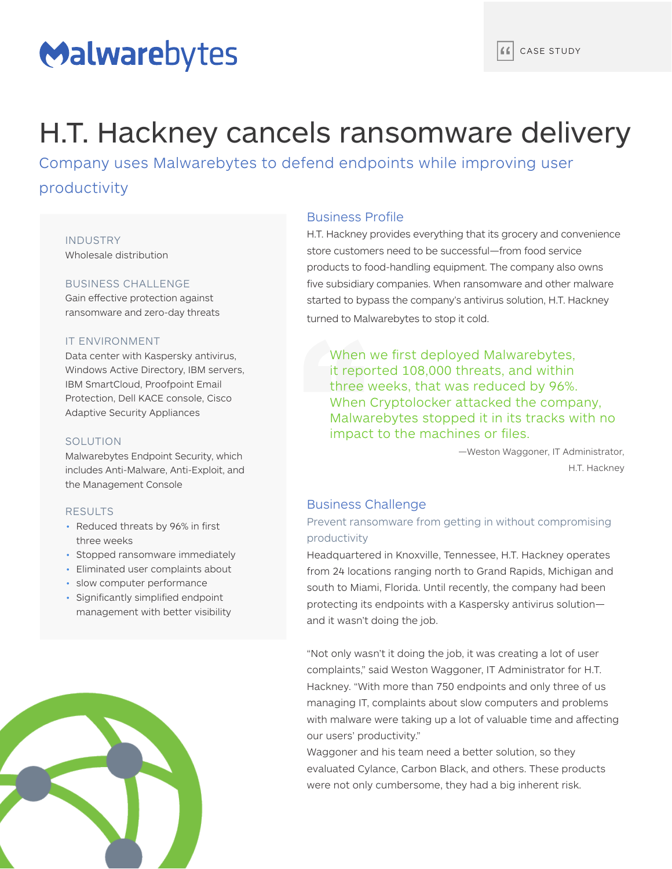# Malwarebytes

## H.T. Hackney cancels ransomware delivery

Company uses Malwarebytes to defend endpoints while improving user productivity

## INDUSTRY Wholesale distribution

## BUSINESS CHALLENGE

Gain effective protection against ransomware and zero-day threats

#### IT ENVIRONMENT

Data center with Kaspersky antivirus, Windows Active Directory, IBM servers, IBM SmartCloud, Proofpoint Email Protection, Dell KACE console, Cisco Adaptive Security Appliances

#### **SOLUTION**

Malwarebytes Endpoint Security, which includes Anti-Malware, Anti-Exploit, and the Management Console

### RESULTS

- Reduced threats by 96% in first three weeks
- Stopped ransomware immediately
- Eliminated user complaints about
- slow computer performance
- Significantly simplified endpoint management with better visibility



## Business Profile

H.T. Hackney provides everything that its grocery and convenience store customers need to be successful—from food service products to food-handling equipment. The company also owns five subsidiary companies. When ransomware and other malware started to bypass the company's antivirus solution, H.T. Hackney turned to Malwarebytes to stop it cold.

When we first deployed Malwarebytes, it reported 108,000 threats, and within three weeks, that was reduced by 96%. When Cryptolocker attacked the company, Malwarebytes stopped it in its tracks with no impact to the machines or files.

> —Weston Waggoner, IT Administrator, H.T. Hackney

## Business Challenge

## Prevent ransomware from getting in without compromising productivity

Headquartered in Knoxville, Tennessee, H.T. Hackney operates from 24 locations ranging north to Grand Rapids, Michigan and south to Miami, Florida. Until recently, the company had been protecting its endpoints with a Kaspersky antivirus solution and it wasn't doing the job.

"Not only wasn't it doing the job, it was creating a lot of user complaints," said Weston Waggoner, IT Administrator for H.T. Hackney. "With more than 750 endpoints and only three of us managing IT, complaints about slow computers and problems with malware were taking up a lot of valuable time and affecting our users' productivity."

Waggoner and his team need a better solution, so they evaluated Cylance, Carbon Black, and others. These products were not only cumbersome, they had a big inherent risk.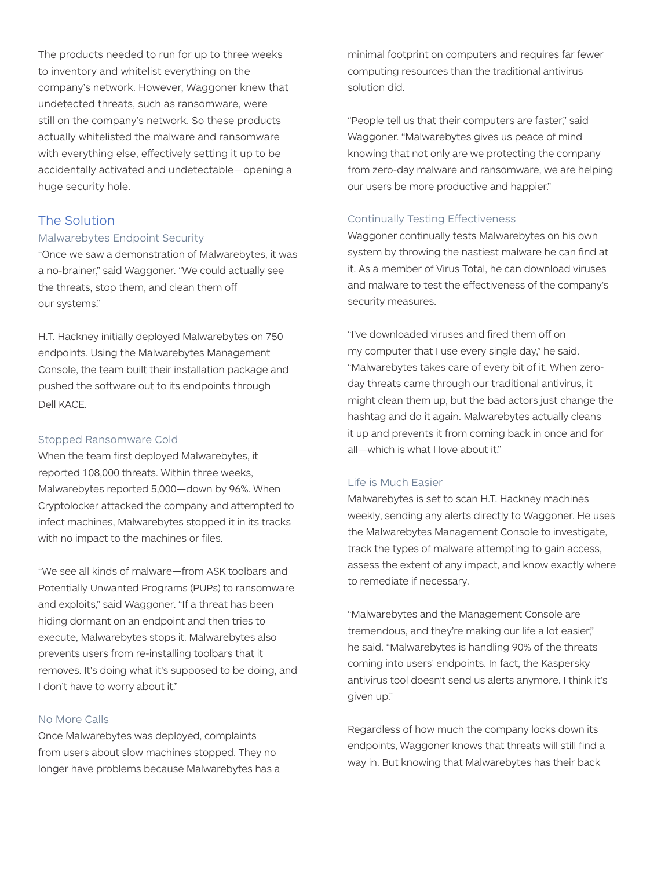The products needed to run for up to three weeks to inventory and whitelist everything on the company's network. However, Waggoner knew that undetected threats, such as ransomware, were still on the company's network. So these products actually whitelisted the malware and ransomware with everything else, effectively setting it up to be accidentally activated and undetectable—opening a huge security hole.

## The Solution

### Malwarebytes Endpoint Security

"Once we saw a demonstration of Malwarebytes, it was a no-brainer," said Waggoner. "We could actually see the threats, stop them, and clean them off our systems."

H.T. Hackney initially deployed Malwarebytes on 750 endpoints. Using the Malwarebytes Management Console, the team built their installation package and pushed the software out to its endpoints through Dell KACE.

#### Stopped Ransomware Cold

When the team first deployed Malwarebytes, it reported 108,000 threats. Within three weeks, Malwarebytes reported 5,000—down by 96%. When Cryptolocker attacked the company and attempted to infect machines, Malwarebytes stopped it in its tracks with no impact to the machines or files.

"We see all kinds of malware—from ASK toolbars and Potentially Unwanted Programs (PUPs) to ransomware and exploits," said Waggoner. "If a threat has been hiding dormant on an endpoint and then tries to execute, Malwarebytes stops it. Malwarebytes also prevents users from re-installing toolbars that it removes. It's doing what it's supposed to be doing, and I don't have to worry about it."

## No More Calls

Once Malwarebytes was deployed, complaints from users about slow machines stopped. They no longer have problems because Malwarebytes has a minimal footprint on computers and requires far fewer computing resources than the traditional antivirus solution did.

"People tell us that their computers are faster," said Waggoner. "Malwarebytes gives us peace of mind knowing that not only are we protecting the company from zero-day malware and ransomware, we are helping our users be more productive and happier."

### Continually Testing Effectiveness

Waggoner continually tests Malwarebytes on his own system by throwing the nastiest malware he can find at it. As a member of Virus Total, he can download viruses and malware to test the effectiveness of the company's security measures.

"I've downloaded viruses and fired them off on my computer that I use every single day," he said. "Malwarebytes takes care of every bit of it. When zeroday threats came through our traditional antivirus, it might clean them up, but the bad actors just change the hashtag and do it again. Malwarebytes actually cleans it up and prevents it from coming back in once and for all—which is what I love about it."

## Life is Much Easier

Malwarebytes is set to scan H.T. Hackney machines weekly, sending any alerts directly to Waggoner. He uses the Malwarebytes Management Console to investigate, track the types of malware attempting to gain access, assess the extent of any impact, and know exactly where to remediate if necessary.

"Malwarebytes and the Management Console are tremendous, and they're making our life a lot easier," he said. "Malwarebytes is handling 90% of the threats coming into users' endpoints. In fact, the Kaspersky antivirus tool doesn't send us alerts anymore. I think it's given up."

Regardless of how much the company locks down its endpoints, Waggoner knows that threats will still find a way in. But knowing that Malwarebytes has their back